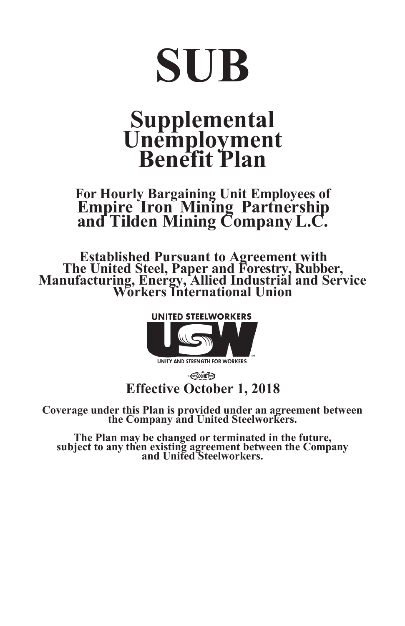# **SUB**

# **Supplemental Unemployment Benefit Plan**

# **For Hourly Bargaining Unit Employees of Empire Iron Mining Partnership and Tilden Mining CompanyL.C.**

**Established Pursuant to Agreement with The United Steel, Paper and Forestry, Rubber, Manufacturing, Energy, Allied Industrial and Service Workers International Union**



 $\epsilon$  GCC/IBT **Effective October 1, 2018**

**Coverage under this Plan is provided under an agreement between the Company and United Steelworkers.**

**The Plan may be changed or terminated in the future, subject to any then existing agreement between the Company and United Steelworkers.**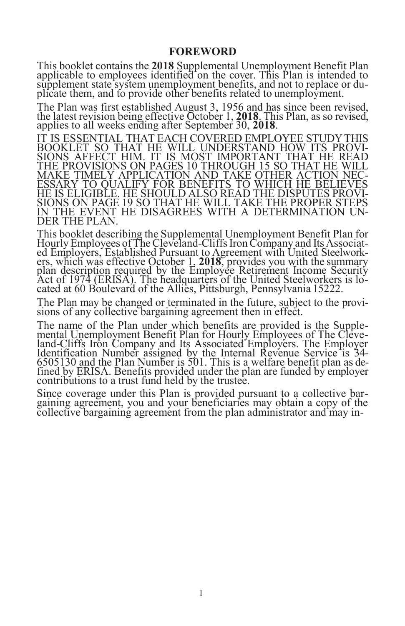#### **FOREWORD**

This booklet contains the **2018** Supplemental Unemployment Benefit Plan applicable to employees identified on the cover. This Plan is intended to supplement state system unemployment benefits, and not to replace or duplicate them, and to provide other benefits related to unemployment.

The Plan was first established August 3, 1956 and has since been revised, the latest revision being effective October 1, **2018**. This Plan, as so revised, applies to all weeks ending after September 30, **2018**.

IT IS ESSENTIAL THAT EACH COVERED EMPLOYEE STUDYTHIS BOOKLET SO THAT HE WILL UNDERSTAND HOW ITS PROVI-SIONS AFFECT HIM. IT IS MOST IMPORTANT THAT HE READ THE PROVISIONS ON PAGES 10 THROUGH 15 SO THAT HE WILL MAKE TIMELY APPLICATION AND TAKE OTHER ACTION NEC-ESSARY TO QUALIFY FOR BENEFITS TO WHICH HE BELIEVES HE IS ELIGIBLE. HE SHOULD ALSO READ THE DISPUTES PROVI-SIONS ON PAGE 19 SO THAT HE WILL TAKE THE PROPER STEPS IN THE EVENT HE DISAGREES WITH A DETERMINATION UN-DER THE PLAN.

This booklet describing the Supplemental Unemployment Benefit Plan for Hourly Employees of The Cleveland-Cliffs Iron Company and Its Associated Employers, Established Pursuant to Agreement with United Steelworkers, which was effective October 1, **2018**, provides you with the summary plan description required by the Employee Retirement Income Security Act of 1974 (ERISA). The headquarters of the United Steelworkers is located at 60 Boulevard of the Allies, Pittsburgh, Pennsylvania 15222.

The Plan may be changed or terminated in the future, subject to the provisions of any collective bargaining agreement then in effect.

The name of the Plan under which benefits are provided is the Supplemental Unemployment Benefit Plan for Hourly Employees of The Cleveland-Cliffs Iron Company and Its Associated Employers. The Employer Identification Number assigned by the Internal Revenue Service is 34- 6505130 and the Plan Number is 501. This is a welfare benefit plan as defined by ERISA. Benefits provided under the plan are funded by employer contributions to a trust fund held by the trustee.

Since coverage under this Plan is provided pursuant to a collective bargaining agreement, you and your beneficiaries may obtain a copy of the collective bargaining agreement from the plan administrator and may in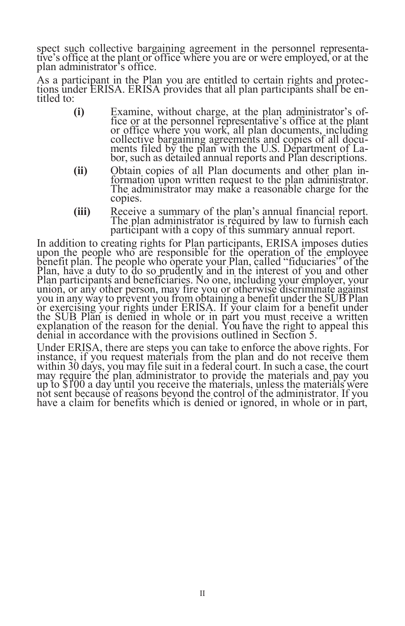spect such collective bargaining agreement in the personnel representative's office at the plant or office where you are or were employed, or at the plan administrator's office.

As a participant in the Plan you are entitled to certain rights and protections under ERISA. ERISA provides that all plan participants shall be entitled to:

- **(i)** Examine, without charge, at the plan administrator's office or at the personnel representative's office at the plant or office where you work, all plan documents, including collective bargaining agreements and copies of all documents filed by the plan with the U.S. Department of Labor, such as detailed annual reports and Plan descriptions.
- **(ii)** Obtain copies of all Plan documents and other plan information upon written request to the plan administrator. The administrator may make a reasonable charge for the copies.
- **(iii)** Receive a summary of the plan's annual financial report. The plan administrator is required by law to furnish each participant with a copy of this summary annual report.

In addition to creating rights for Plan participants, ERISA imposes duties upon the people who are responsible for the operation of the employee benefit plan. The people who operate your Plan, called "fiduciaries" of the Plan, have a duty to do so prudently and in the interest of you and other Plan participants and beneficiaries. No one, including your employer, your union, or any other person, may fire you or otherwise discriminate against you in any way to prevent you from obtaining a benefit under the SUB Plan or exercising your rights under ERISA. If your claim for a benefit under the SUB Plan is denied in whole or in part you must receive a written explanation of the reason for the denial. You have the right to appeal this denial in accordance with the provisions outlined in Section 5.

Under ERISA, there are steps you can take to enforce the above rights. For instance, if you request materials from the plan and do not receive them within 30 days, you may file suit in a federal court. In such a case, the court may require the plan administrator to provide the materials and pay you up to \$100 a day until you receive the materials, unless the materials were not sent because of reasons beyond the control of the administrator. If you have a claim for benefits which is denied or ignored, in whole or in part,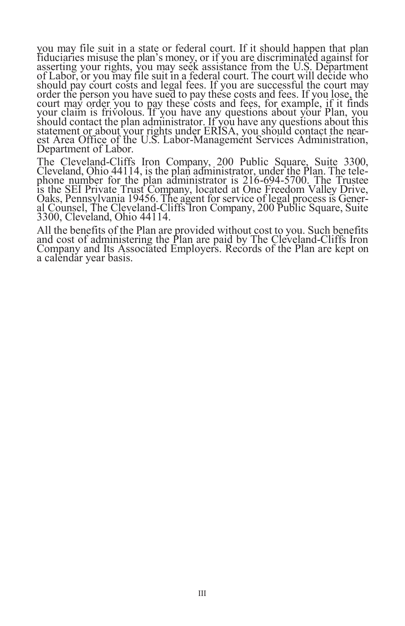you may file suit in a state or federal court. If it should happen that plan fiduciaries misuse the plan's money, or if you are discriminated against for asserting your rights, you may seek assistance from the U.S. Department of Labor, or you may file suit in a federal court. The court will decide who should pay court costs and legal fees. If you are successful the court may order the person you have sued to pay these costs and fees. If you lose, the court may order you to pay these costs and fees, for example, if it finds your claim is frivolous. If you have any questions about your Plan, you should contact the plan administrator. If you have any questions about this statement or about your rights under ERISA, you should contact the nearest Area Office of the U.S. Labor-Management Services Administration, Department of Labor.

The Cleveland-Cliffs Iron Company, 200 Public Square, Suite 3300, Cleveland, Ohio 44114, is the plan administrator, under the Plan. The telephone number for the plan administrator is 216-694-5700. The Trustee is the SEI Private Trust Company, located at One Freedom Valley Drive, Oaks, Pennsylvania 19456. The agent for service of legal process is General Counsel, The Cleveland-Cliffs Iron Company, 200 Public Square, Suite 3300, Cleveland, Ohio 44114.

All the benefits of the Plan are provided without cost to you. Such benefits and cost of administering the Plan are paid by The Cleveland-Cliffs Iron Company and Its Associated Employers. Records of the Plan are kept on a calendar year basis.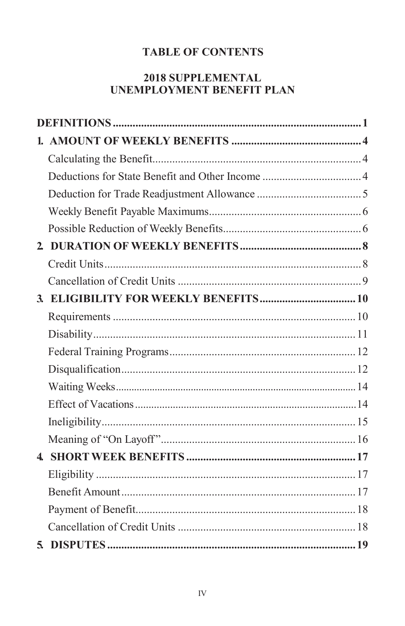# **TABLE OF CONTENTS**

# **2018 SUPPLEMENTAL UNEMPLOYMENT BENEFIT PLAN**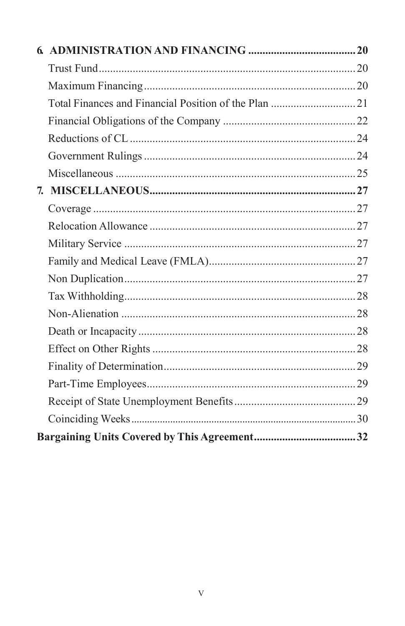| 7. |  |
|----|--|
|    |  |
|    |  |
|    |  |
|    |  |
|    |  |
|    |  |
|    |  |
|    |  |
|    |  |
|    |  |
|    |  |
|    |  |
|    |  |
|    |  |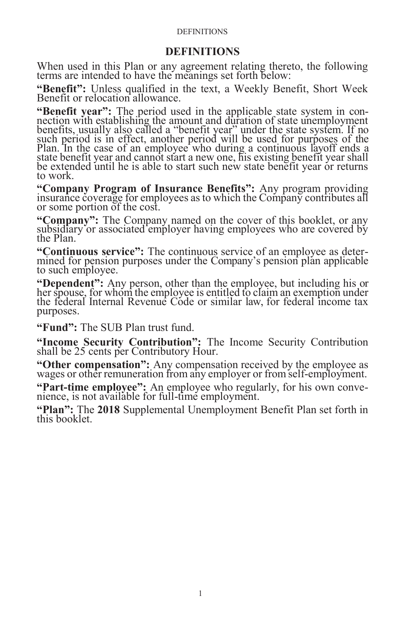#### **DEFINITIONS**

#### **DEFINITIONS**

<span id="page-8-0"></span>When used in this Plan or any agreement relating thereto, the following terms are intended to have the meanings set forth below:

**"Benefit":** Unless qualified in the text, a Weekly Benefit, Short Week Benefit or relocation allowance.

**"Benefit year":** The period used in the applicable state system in connection with establishing the amount and duration of state unemployment benefits, usually also called a "benefit year" under the state system. If no such period is in effect, another period will be used for purposes of the Plan. In the case of an employee who during a continuous layoff ends a state benefit year and cannot start a new one, his existing benefit year shall be extended until he is able to start such new state benefit year or returns to work.

**"Company Program of Insurance Benefits":** Any program providing insurance coverage for employees as to which the Company contributes all or some portion of the cost.

**"Company":** The Company named on the cover of this booklet, or any subsidiary or associated employer having employees who are covered by the Plan.

**"Continuous service":** The continuous service of an employee as determined for pension purposes under the Company's pension plan applicable to such employee.

**"Dependent":** Any person, other than the employee, but including his or her spouse, for whom the employee is entitled to claim an exemption under the federal Internal Revenue Code or similar law, for federal income tax purposes.

**"Fund":** The SUB Plan trust fund.

**"Income Security Contribution":** The Income Security Contribution shall be 25 cents per Contributory Hour.

**"Other compensation":** Any compensation received by the employee as wages or other remuneration from any employer or from self-employment.

**"Part-time employee":** An employee who regularly, for his own convenience, is not available for full-time employment.

**"Plan":** The **2018** Supplemental Unemployment Benefit Plan set forth in this booklet.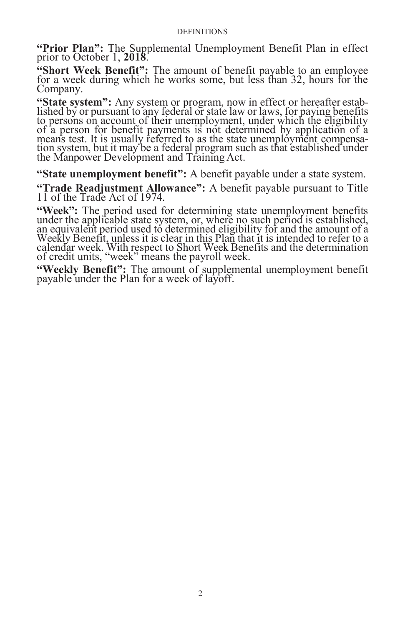#### **DEFINITIONS**

**"Prior Plan":** The Supplemental Unemployment Benefit Plan in effect prior to October 1, **2018**.

**"Short Week Benefit":** The amount of benefit payable to an employee for a week during which he works some, but less than 32, hours for the Company.

**"State system":** Any system or program, now in effect or hereafter established by or pursuant to any federal or state law or laws, for paying benefits to persons on account of their unemployment, under which the eligibility of a person for benefit payments is not determined by application of a means test. It is usually referred to as the state unemployment compensation system, but it may be a federal program such as that established under the Manpower Development and Training Act.

**"State unemployment benefit":** A benefit payable under a state system.

**"Trade Readjustment Allowance":** A benefit payable pursuant to Title 11 of the Trade Act of 1974.

**"Week":** The period used for determining state unemployment benefits under the applicable state system, or, where no such period is established, an equivalent period used to determined eligibility for and the amount of a Weekly Benefit, unless it is clear in this Plan that it is intended to refer to a calendar week. With respect to Short Week Benefits and the determination of credit units, "week" means the payroll week.

**"Weekly Benefit":** The amount of supplemental unemployment benefit payable under the Plan for a week of layoff.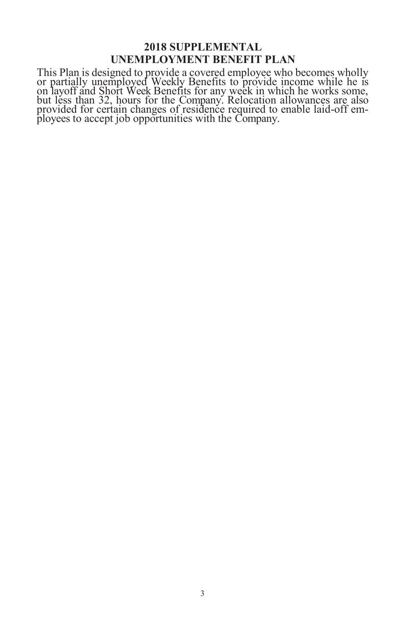## **2018 SUPPLEMENTAL UNEMPLOYMENT BENEFIT PLAN**

This Plan is designed to provide a covered employee who becomes wholly or partially unemployed Weekly Benefits to provide income while he is on layoff and Short Week Benefits for any week in which he works some, but less than 32, hours for the Company. Relocation allowances are also provided for certain changes of residence required to enable laid-off employees to accept job opportunities with the Company.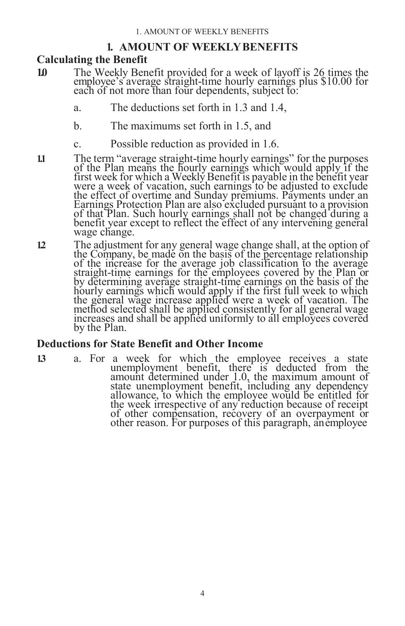# **1. AMOUNT OF WEEKLYBENEFITS**

# **Calculating the Benefit**

- **1.0** The Weekly Benefit provided for a week of layoff is 26 times the employee's average straight-time hourly earnings plus \$10.00 for each of not more than four dependents, subject to:
	- a. The deductions set forth in 1.3 and 1.4,
	- b. The maximums set forth in 1.5, and
	- c. Possible reduction as provided in 1.6.
- **1.1** The term "average straight-time hourly earnings" for the purposes of the Plan means the hourly earnings which would apply if the first week for which a Weekly Benefit is payable in the benefit year were a week of vacation, such earnings to be adjusted to exclude the effect of overtime and Sunday premiums. Payments under an Earnings Protection Plan are also excluded pursuant to a provision of that Plan. Such hourly earnings shall not be changed during a benefit year except to reflect the effect of any intervening general wage change.
- **1.2** The adjustment for any general wage change shall, at the option of the Company, be made on the basis of the percentage relationship of the increase for the average job classification to the average straight-time earnings for the employees covered by the Plan or by determining average straight-time earnings on the basis of the hourly earnings which would apply if the first full week to which the general wage increase applied were a week of vacation. The method selected shall be applied consistently for all general wage increases and shall be applied uniformly to all employees covered by the Plan.

### <span id="page-11-0"></span>**Deductions for State Benefit and Other Income**

**1.3** a. For a week for which the employee receives a state unemployment benefit, there is deducted from the amount determined under 1.0, the maximum amount of state unemployment benefit, including any dependency allowance, to which the employee would be entitled for the week irrespective of any reduction because of receipt of other compensation, recovery of an overpayment or other reason. For purposes of this paragraph, anemployee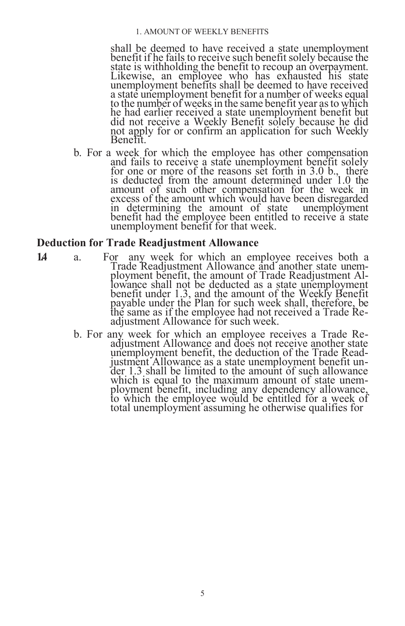#### 1. AMOUNT OF WEEKLY BENEFITS

shall be deemed to have received a state unemployment benefit if he fails to receive such benefit solely because the state is withholding the benefit to recoup an overpayment. Likewise, an employee who has exhausted his state unemployment benefits shall be deemed to have received a state unemployment benefit for a number of weeks equal to the number of weeks in the same benefit year as to which he had earlier received a state unemployment benefit but did not receive a Weekly Benefit solely because he did not apply for or confirm an application for such Weekly Benefit.

b. For a week for which the employee has other compensation and fails to receive a state unemployment benefit solely for one or more of the reasons set forth in 3.0 b., there is deducted from the amount determined under 1.0 the amount of such other compensation for the week in excess of the amount which would have been disregarded in determining the amount of state unemployment benefit had the employee been entitled to receive a state unemployment benefit for that week.

#### <span id="page-12-0"></span>**Deduction for Trade Readjustment Allowance**

- 14 a. For any week for which an employee receives both a Trade Readjustment Allowance and another state unemployment benefit, the amount of Trade Readjustment Allowance shall not be deducted as a state unemployment benefit under 1.3, and the amount of the Weekly Benefit payable under the Plan for such week shall, therefore, be the same as if the employee had not received a Trade Readjustment Allowance for such week.
	- b. For any week for which an employee receives a Trade Readjustment Allowance and does not receive another state unemployment benefit, the deduction of the Trade Readjustment Allowance as a state unemployment benefit under 1.3 shall be limited to the amount of such allowance which is equal to the maximum amount of state unemployment benefit, including any dependency allowance, to which the employee would be entitled for a week of total unemployment assuming he otherwise qualifies for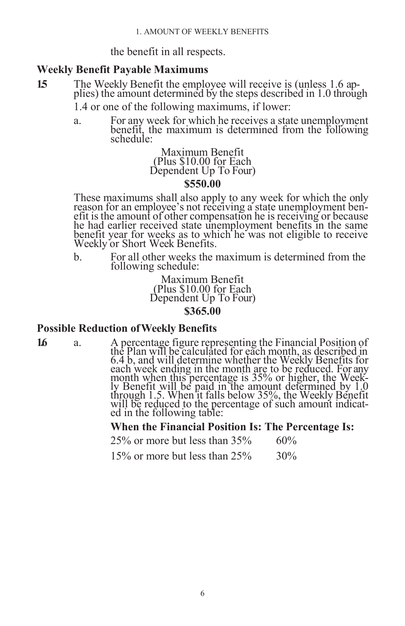the benefit in all respects.

#### <span id="page-13-0"></span>**Weekly Benefit Payable Maximums**

**1.5** The Weekly Benefit the employee will receive is (unless 1.6 applies) the amount determined by the steps described in 1.0 through

1.4 or one of the following maximums, if lower:

a. For any week for which he receives a state unemployment benefit, the maximum is determined from the following schedule:

> Maximum Benefit (Plus \$10.00 for Each Dependent Up To Four)

### **\$550.00**

These maximums shall also apply to any week for which the only reason for an employee's not receiving a state unemployment benefit is the amount of other compensation he is receiving or because he had earlier received state unemployment benefits in the same benefit year for weeks as to which he was not eligible to receive Weekly or Short Week Benefits.

b. For all other weeks the maximum is determined from the following schedule:

> Maximum Benefit (Plus \$10.00 for Each Dependent Up To Four) **\$365.00**

# <span id="page-13-1"></span>**Possible Reduction ofWeekly Benefits**

16 a. A percentage figure representing the Financial Position of the Plan will be calculated for each month, as described in 6.4 b, and will determine whether the Weekly Benefits for each week ending in the month are to be reduced. For any month when this percentage is 35% or higher, the Weekly Benefit will be paid in the amount determined by 1.0 through 1.5. When it falls below 35%, the Weekly Benefit will be reduced to the percentage of such amount indicated in the following table:

**When the Financial Position Is: The Percentage Is:**

|  | $25\%$ or more but less than $35\%$ |  | $60\%$ |
|--|-------------------------------------|--|--------|
|  | 15% or more but less than 25%       |  | $30\%$ |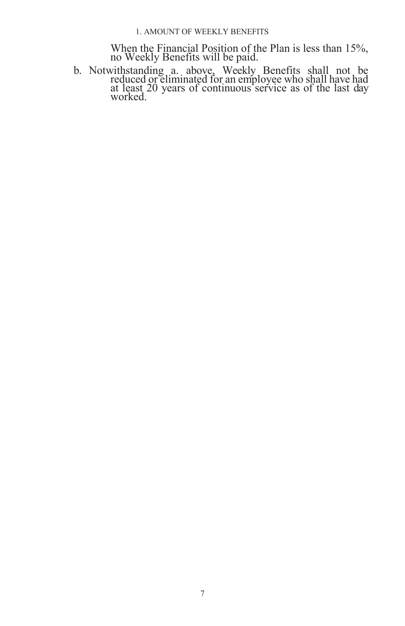When the Financial Position of the Plan is less than 15%, no Weekly Benefits will be paid.

b. Notwithstanding a. above, Weekly Benefits shall not be reduced or eliminated for an employee who shall have had at least 20 years of continuous service as of the last day worked.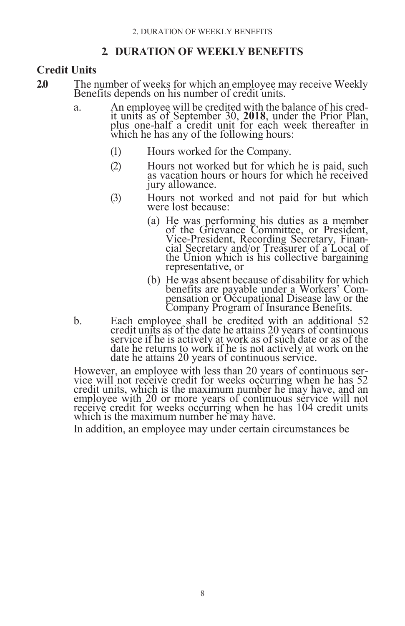# **2. DURATION OF WEEKLY BENEFITS**

# <span id="page-15-1"></span><span id="page-15-0"></span>**Credit Units**

- **2.0** The number of weeks for which an employee may receive Weekly Benefits depends on his number of credit units.
	- a. An employee will be credited with the balance of his credit units as of September 30, **2018**, under the Prior Plan, plus one-half a credit unit for each week thereafter in which he has any of the following hours:
		- (1) Hours worked for the Company.
		- (2) Hours not worked but for which he is paid, such as vacation hours or hours for which he received jury allowance.
		- (3) Hours not worked and not paid for but which were lost because:
			- (a) He was performing his duties as a member of the Grievance Committee, or President, Vice-President, Recording Secretary, Financial Secretary and/or Treasurer of a Local of the Union which is his collective bargaining representative, or
			- (b) He was absent because of disability for which benefits are payable under a Workers' Compensation or Occupational Disease law or the Company Program of Insurance Benefits.
	- b. Each employee shall be credited with an additional 52 credit units as of the date he attains 20 years of continuous service if he is actively at work as of such date or as of the date he returns to work if he is not actively at work on the date he attains 20 years of continuous service.

However, an employee with less than 20 years of continuous service will not receive credit for weeks occurring when he has 52 credit units, which is the maximum number he may have, and an employee with 20 or more years of continuous service will not receive credit for weeks occurring when he has 104 credit units which is the maximum number he may have.

In addition, an employee may under certain circumstances be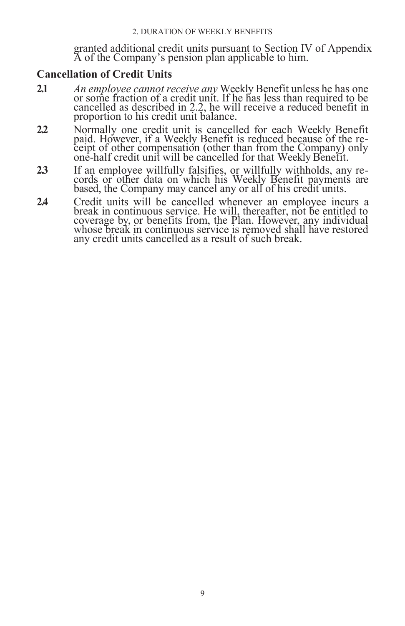granted additional credit units pursuant to Section IV of Appendix A of the Company's pension plan applicable to him.

# <span id="page-16-0"></span>**Cancellation of Credit Units**

- **2.1** *An employee cannot receive any* Weekly Benefit unless he has one or some fraction of a credit unit. If he has less than required to be cancelled as described in 2.2, he will receive a reduced benefit in proportion to his credit unit balance.
- **2.2** Normally one credit unit is cancelled for each Weekly Benefit paid. However, if a Weekly Benefit is reduced because of the receipt of other compensation (other than from the Company) only one-half credit unit will be cancelled for that Weekly Benefit.
- **2.3** If an employee willfully falsifies, or willfully withholds, any records or other data on which his Weekly Benefit payments are based, the Company may cancel any or all of his credit units.
- **2.4** Credit units will be cancelled whenever an employee incurs a break in continuous service. He will, thereafter, not be entitled to coverage by, or benefits from, the Plan. However, any individual whose break in continuous service is removed shall have restored any credit units cancelled as a result of such break.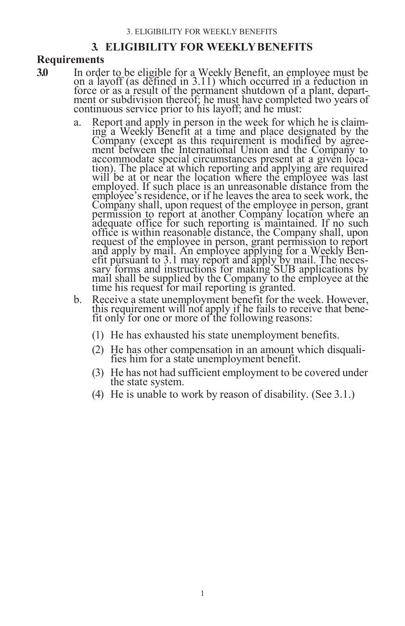# **3. ELIGIBILITY FOR WEEKLYBENEFITS**

# **Requirements**

- **3.0** In order to be eligible for a Weekly Benefit, an employee must be on a layoff (as defined in 3.11) which occurred in a reduction in force or as a result of the permanent shutdown of a plant, department or subdivision thereof; he must have completed two years of continuous service prior to his layoff; and he must:
	- a. Report and apply in person in the week for which he is claiming a Weekly Benefit at a time and place designated by the Company (except as this requirement is modified by agreement between the International Union and the Company to accommodate special circumstances present at a given location). The place at which reporting and applying are required will be at or near the location where the employee was last employed. If such place is an unreasonable distance from the employee's residence, or if he leaves the area to seek work, the Company shall, upon request of the employee in person, grant permission to report at another Company location where an adequate office for such reporting is maintained. If no such office is within reasonable distance, the Company shall, upon request of the employee in person, grant permission to report and apply by mail. An employee applying for a Weekly Benefit pursuant to 3.1 may report and apply by mail. The necessary forms and instructions for making SUB applications by mail shall be supplied by the Company to the employee at the time his request for mail reporting is granted.
	- b. Receive a state unemployment benefit for the week. However, this requirement will not apply if he fails to receive that benefit only for one or more of the following reasons:
		- (1) He has exhausted his state unemployment benefits.
		- (2) He has other compensation in an amount which disqualifies him for a state unemployment benefit.
		- (3) He has not had sufficient employment to be covered under the state system.
		- (4) He is unable to work by reason of disability. (See 3.1.)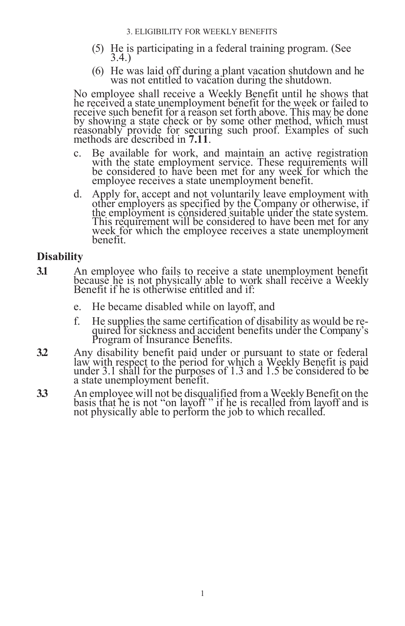- (5) He is participating in a federal training program. (See 3.4.)
- (6) He was laid off during a plant vacation shutdown and he was not entitled to vacation during the shutdown.

No employee shall receive a Weekly Benefit until he shows that he received a state unemployment benefit for the week or failed to receive such benefit for a reason set forth above. This may be done by showing a state check or by some other method, which must reasonably provide for securing such proof. Examples of such methods are described in **7.11**.

- c. Be available for work, and maintain an active registration with the state employment service. These requirements will be considered to have been met for any week for which the employee receives a state unemployment benefit.
- d. Apply for, accept and not voluntarily leave employment with other employers as specified by the Company or otherwise, if the employment is considered suitable under the state system. This requirement will be considered to have been met for any week for which the employee receives a state unemployment benefit.

# <span id="page-18-0"></span>**Disability**

- **3.1** An employee who fails to receive a state unemployment benefit because he is not physically able to work shall receive a Weekly Benefit if he is otherwise entitled and if:
	- e. He became disabled while on layoff, and
	- f. He supplies the same certification of disability as would be required for sickness and accident benefits under the Company's Program of Insurance Benefits.
- **3.2** Any disability benefit paid under or pursuant to state or federal law with respect to the period for which a Weekly Benefit is paid under 3.1 shall for the purposes of 1.3 and 1.5 be considered to be a state unemployment benefit.
- **33** An employee will not be disqualified from a Weekly Benefit on the basis that he is not "on layoff " if he is recalled from layoff and is not physically able to perform the job to which recalled.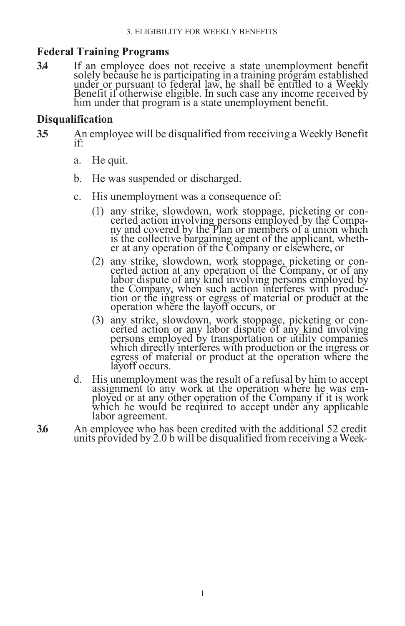# <span id="page-19-0"></span>**Federal Training Programs**

**3.4** If an employee does not receive a state unemployment benefit solely because he is participating in a training program established under or pursuant to federal law, he shall be entitled to a Weekly Benefit if otherwise eligible. In such case any income received by him under that program is a state unemployment benefit.

# <span id="page-19-1"></span>**Disqualification**

- **35** An employee will be disqualified from receiving a Weekly Benefit if:
	- a. He quit.
	- b. He was suspended or discharged.
	- c. His unemployment was a consequence of:
		- (1) any strike, slowdown, work stoppage, picketing or concerted action involving persons employed by the Company and covered by the Plan or members of a union which is the collective bargaining agent of the applicant, whether at any operation of the Company or elsewhere, or
		- (2) any strike, slowdown, work stoppage, picketing or concerted action at any operation of the Company, or of any labor dispute of any kind involving persons employed by the Company, when such action interferes with production or the ingress or egress of material or product at the operation where the layoff occurs, or
		- (3) any strike, slowdown, work stoppage, picketing or concerted action or any labor dispute of any kind involving persons employed by transportation or utility companies which directly interferes with production or the ingress or egress of material or product at the operation where the layoff occurs.
	- d. His unemployment was the result of a refusal by him to accept assignment to any work at the operation where he was employed or at any other operation of the Company if it is work which he would be required to accept under any applicable labor agreement.
- **3.6** An employee who has been credited with the additional 52 credit units provided by 2.0 b will be disqualified from receiving a Week-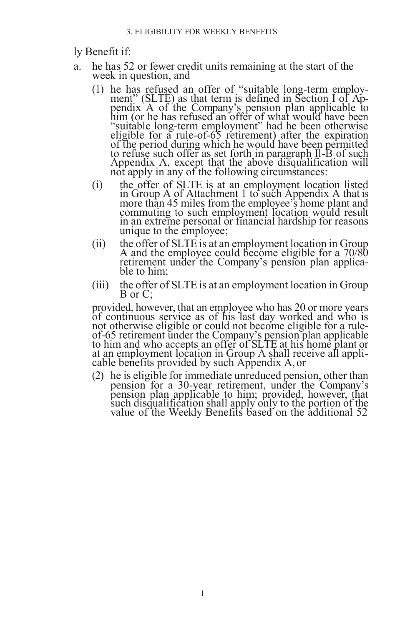#### ly Benefit if:

- a. he has 52 or fewer credit units remaining at the start of the week in question, and
	- (1) he has refused an offer of "suitable long-term employment" (SLTE) as that term is defined in Section I of Appendix A of the Company's pension plan applicable to him (or he has refused an offer of what would have been "suitable long-term employment" had he been otherwise eligible for a rule-of-65 retirement) after the expiration of the period during which he would have been permitted to refuse such offer as set forth in paragraph Il-B of such Appendix A, except that the above disqualification will not apply in any of the following circumstances:
	- (i) the offer of SLTE is at an employment location listed in Group A of Attachment 1 to such Appendix A that is more than 45 miles from the employee's home plant and commuting to such employment location would result in an extreme personal or financial hardship for reasons unique to the employee;
	- (ii) the offer of SLTE is at an employment location in Group A and the employee could become eligible for a 70/80 retirement under the Company's pension plan applicable to him;
	- (iii) the offer of SLTE is at an employment location in Group B or C;

provided, however, that an employee who has 20 or more years of continuous service as of his last day worked and who is not otherwise eligible or could not become eligible for a ruleof-65 retirement under the Company's pension plan applicable to him and who accepts an offer of SLTE at his home plant or at an employment location in Group A shall receive all applicable benefits provided by such Appendix A,or

(2) he is eligible for immediate unreduced pension, other than pension for a 30-year retirement, under the Company's pension plan applicable to him; provided, however, that such disqualification shall apply only to the portion of the value of the Weekly Benefits based on the additional 52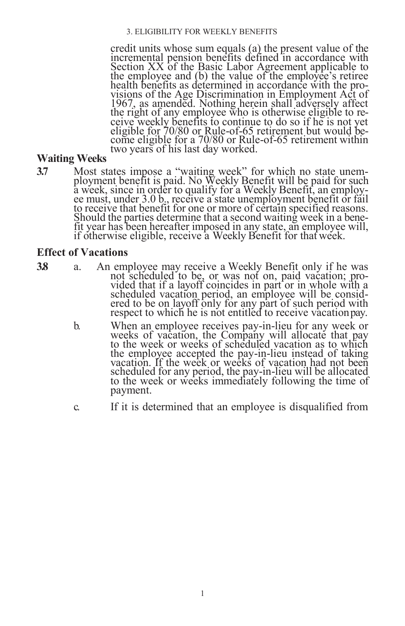#### 3. ELIGIBILITY FOR WEEKLY BENEFITS

credit units whose sum equals (a) the present value of the incremental pension benefits defined in accordance with Section XX of the Basic Labor Agreement applicable to the employee and (b) the value of the employee's retiree health benefits as determined in accordance with the provisions of the Age Discrimination in Employment Act of 1967, as amended. Nothing herein shall adversely affect the right of any employee who is otherwise eligible to receive weekly benefits to continue to do so if he is not yet eligible for 70/80 or Rule-of-65 retirement but would become eligible for a 70/80 or Rule-of-65 retirement within two years of his last day worked.

# <span id="page-21-0"></span>**Waiting Weeks**

**3.7** Most states impose a "waiting week" for which no state unemployment benefit is paid. No Weekly Benefit will be paid for such a week, since in order to qualify for a Weekly Benefit, an employee must, under 3.0 b., receive a state unemployment benefit or fail to receive that benefit for one or more of certain specified reasons. Should the parties determine that a second waiting week in a benefit year has been hereafter imposed in any state, an employee will, if otherwise eligible, receive a Weekly Benefit for that week.

#### <span id="page-21-1"></span>**Effect of Vacations**

- 
- **3.8** a. An employee may receive a Weekly Benefit only if he was not scheduled to be, or was not on, paid vacation; provided that if a layoff coincides in part or in whole with a scheduled vacation period, an employee will be considered to be on layoff only for any part of such period with respect to which he is not entitled to receive vacation pay.
	- b. When an employee receives pay-in-lieu for any week or weeks of vacation, the Company will allocate that pay to the week or weeks of scheduled vacation as to which the employee accepted the pay-in-lieu instead of taking vacation. If the week or weeks of vacation had not been scheduled for any period, the pay-in-lieu will be allocated to the week or weeks immediately following the time of payment.
	- c. If it is determined that an employee is disqualified from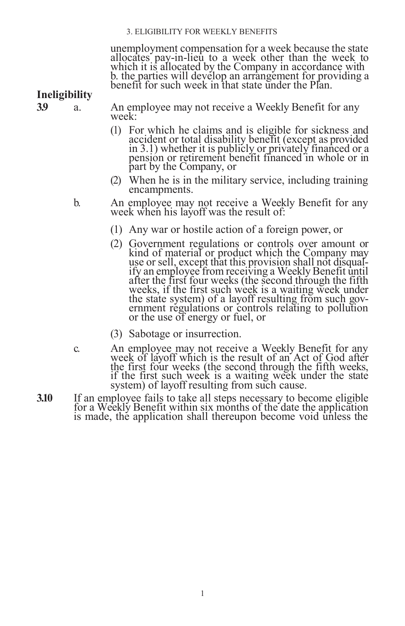#### 3. ELIGIBILITY FOR WEEKLY BENEFITS

unemployment compensation for a week because the state allocates pay-in-lieu to a week other than the week to which it is allocated by the Company in accordance with b. the parties will develop an arrangement for providing a benefit for such week in that state under the Plan.

<span id="page-22-0"></span>**Ineligibility**

**3.9** a. An employee may not receive a Weekly Benefit for any week:

- (1) For which he claims and is eligible for sickness and accident or total disability benefit (except as provided in 3.1) whether it is publicly or privately financed or a pension or retirement benefit financed in whole or in part by the Company, or
- (2) When he is in the military service, including training encampments.

b. An employee may not receive a Weekly Benefit for any week when his layoff was the result of:

- (1) Any war or hostile action of a foreign power, or
- (2) Government regulations or controls over amount or kind of material or product which the Company may use or sell, except that this provision shall not disqualify an employee from receiving a Weekly Benefit until after the first four weeks (the second through the fifth weeks, if the first such week is a waiting week under the state system) of a layoff resulting from such government regulations or controls relating to pollution or the use of energy or fuel, or
- (3) Sabotage or insurrection.
- c. An employee may not receive a Weekly Benefit for any week of layoff which is the result of an Act of God after the first four weeks (the second through the fifth weeks, if the first such week is a waiting week under the state system) of layoff resulting from such cause.
- **3.10** If an employee fails to take all steps necessary to become eligible for a Weekly Benefit within six months of the date the application is made, the application shall thereupon become void unless the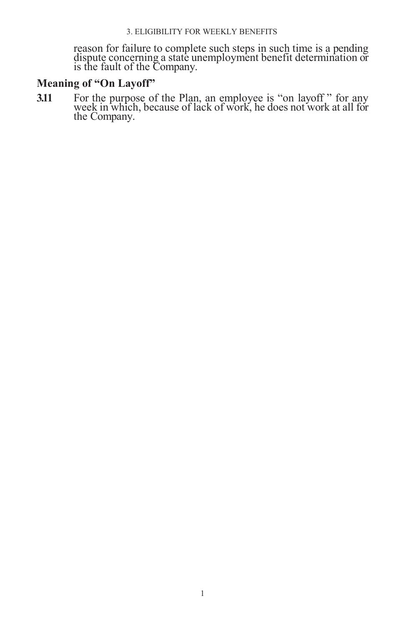reason for failure to complete such steps in such time is a pending dispute concerning a state unemployment benefit determination or is the fault of the Company.

# <span id="page-23-0"></span>**Meaning of "On Layoff"**

**3.11** For the purpose of the Plan, an employee is "on layoff" for any week in which, because of lack of work, he does not work at all for the Company.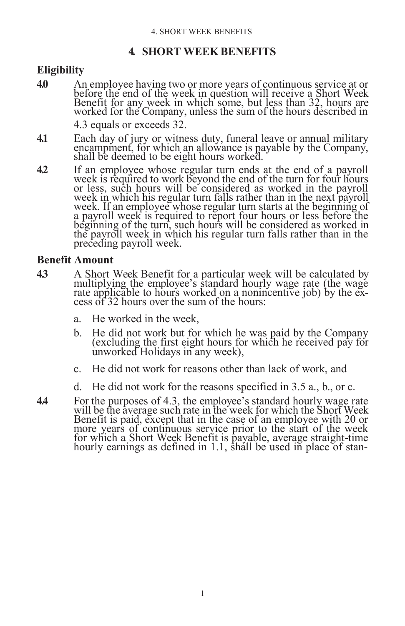# **4. SHORT WEEK BENEFITS**

# <span id="page-24-1"></span><span id="page-24-0"></span>**Eligibility**

**4.0** An employee having two or more years of continuous service at or before the end of the week in question will receive a Short Week Benefit for any week in which some, but less than 32, hours are worked for the Company, unless the sum of the hours described in 4.3 equals or exceeds 32.

**4.1** Each day of jury or witness duty, funeral leave or annual military encampment, for which an allowance is payable by the Company, shall be deemed to be eight hours worked.

**4.2** If an employee whose regular turn ends at the end of a payroll week is required to work beyond the end of the turn for four hours or less, such hours will be considered as worked in the payroll week in which his regular turn falls rather than in the next payroll week. If an employee whose regular turn starts at the beginning of a payroll week is required to report four hours or less before the beginning of the turn, such hours will be considered as worked in the payroll week in which his regular turn falls rather than in the preceding payroll week.

### <span id="page-24-2"></span>**Benefit Amount**

- **4.3** A Short Week Benefit for a particular week will be calculated by multiplying the employee's standard hourly wage rate (the wage rate applicable to hours worked on a nonincentive job) by the excess of 32 hours over the sum of the hours:
	- a. He worked in the week,
	- b. He did not work but for which he was paid by the Company (excluding the first eight hours for which he received pay for unworked Holidays in any week),
	- c. He did not work for reasons other than lack of work, and
	- d. He did not work for the reasons specified in 3.5 a., b., or c.
- **4.4** For the purposes of 4.3, the employee's standard hourly wage rate will be the average such rate in the week for which the Short Week Benefit is paid, except that in the case of an employee with 20 or more years of continuous service prior to the start of the week for which a Short Week Benefit is payable, average straight-time hourly earnings as defined in 1.1, shall be used in place of stan-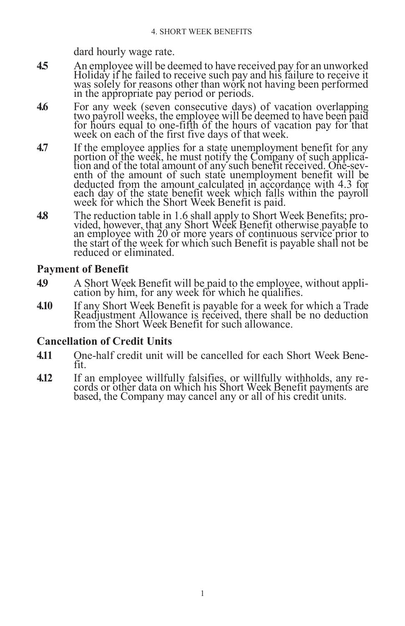dard hourly wage rate.

- **4.5** An employee will be deemed to have received pay for an unworked Holiday if he failed to receive such pay and his failure to receive it was solely for reasons other than work not having been performed in the appropriate pay period or periods.
- **4.6** For any week (seven consecutive days) of vacation overlapping two payroll weeks, the employee will be deemed to have been paid for hours equal to one-fifth of the hours of vacation pay for that week on each of the first five days of that week.
- **4.7** If the employee applies for a state unemployment benefit for any portion of the week, he must notify the Company of such application and of the total amount of any such benefit received. One-seventh of the amount of such state unemployment benefit will be deducted from the amount calculated in accordance with 4.3 for each day of the state benefit week which falls within the payroll week for which the Short Week Benefit is paid.
- **4.8** The reduction table in 1.6 shall apply to Short Week Benefits; provided, however, that any Short Week Benefit otherwise payable to an employee with 20 or more years of continuous service prior to the start of the week for which such Benefit is payable shall not be reduced or eliminated.

# <span id="page-25-0"></span>**Payment of Benefit**

- **4.9** A Short Week Benefit will be paid to the employee, without application by him, for any week for which he qualifies.
- **4.10** If any Short Week Benefit is payable for a week for which a Trade Readjustment Allowance is received, there shall be no deduction from the Short Week Benefit for such allowance.

# <span id="page-25-1"></span>**Cancellation of Credit Units**

- **4.11** One-half credit unit will be cancelled for each Short Week Benefit.
- **4.12** If an employee willfully falsifies, or willfully withholds, any records or other data on which his Short Week Benefit payments are based, the Company may cancel any or all of his credit units.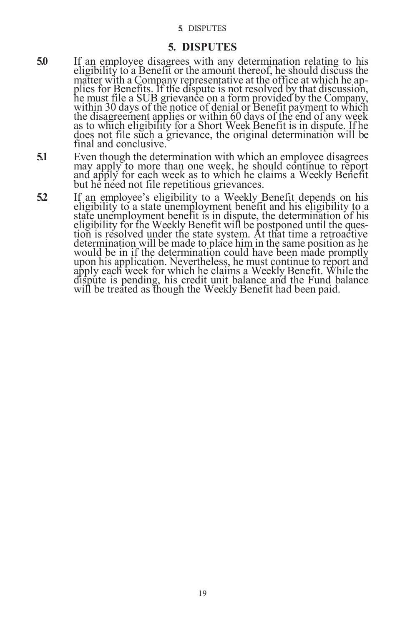#### **5.** DISPUTES

#### **5. DISPUTES**

- <span id="page-26-0"></span>**5.0** If an employee disagrees with any determination relating to his eligibility to a Benefit or the amount thereof, he should discuss the matter with a Company representative at the office at which he applies for Benefits. If the dispute is not resolved by that discussion, he must file a SUB grievance on a form provided by the Company, within 30 days of the notice of denial or Benefit payment to which the disagreement applies or within 60 days of the end of any week as to which eligibility for a Short Week Benefit is in dispute. If he does not file such a grievance, the original determination will be final and conclusive.
- **5.1** Even though the determination with which an employee disagrees may apply to more than one week, he should continue to report and apply for each week as to which he claims a Weekly Benefit but he need not file repetitious grievances.
- **5.2** If an employee's eligibility to a Weekly Benefit depends on his eligibility to a state unemployment benefit and his eligibility to a state unemployment benefit is in dispute, the determination of his eligibility for the Weekly Benefit will be postponed until the question is resolved under the state system. At that time a retroactive determination will be made to place him in the same position as he would be in if the determination could have been made promptly upon his application. Nevertheless, he must continue to report and apply each week for which he claims a Weekly Benefit. While the dispute is pending, his credit unit balance and the Fund balance will be treated as though the Weekly Benefit had been paid.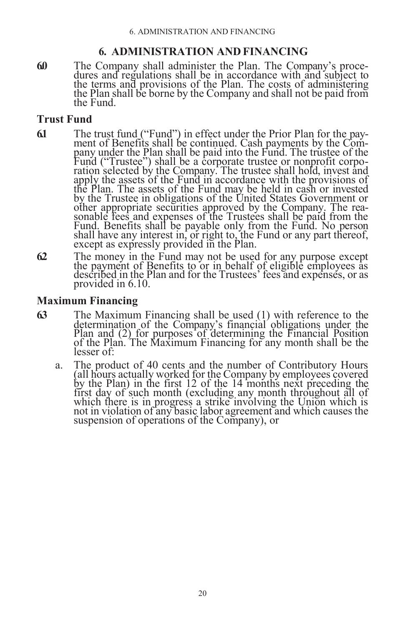# **6. ADMINISTRATION AND FINANCING**

<span id="page-27-0"></span>**6.0** The Company shall administer the Plan. The Company's procedures and regulations shall be in accordance with and subject to the terms and provisions of the Plan. The costs of administering the Plan shall be borne by the Company and shall not be paid from the Fund.

# <span id="page-27-1"></span>**Trust Fund**

- **6.1** The trust fund ("Fund") in effect under the Prior Plan for the payment of Benefits shall be continued. Cash payments by the Company under the Plan shall be paid into the Fund. The trustee of the Fund ("Trustee") shall be a corporate trustee or nonprofit corporation selected by the Company. The trustee shall hold, invest and apply the assets of the Fund in accordance with the provisions of the Plan. The assets of the Fund may be held in cash or invested by the Trustee in obligations of the United States Government or other appropriate securities approved by the Company. The reasonable fees and expenses of the Trustees shall be paid from the Fund. Benefits shall be payable only from the Fund. No person shall have any interest in, or right to, the Fund or any part thereof, except as expressly provided in the Plan.
- **6.2** The money in the Fund may not be used for any purpose except the payment of Benefits to or in behalf of eligible employees as described in the Plan and for the Trustees' fees and expenses, or as provided in 6.10.

# <span id="page-27-2"></span>**Maximum Financing**

- **6.3** The Maximum Financing shall be used (1) with reference to the determination of the Company's financial obligations under the Plan and (2) for purposes of determining the Financial Position of the Plan. The Maximum Financing for any month shall be the lesser of:
	- a. The product of 40 cents and the number of Contributory Hours (all hours actually worked for the Company by employees covered by the Plan) in the first 12 of the 14 months next preceding the first day of such month (excluding any month throughout all of which there is in progress a strike involving the Union which is not in violation of any basic labor agreement and which causes the suspension of operations of the Company), or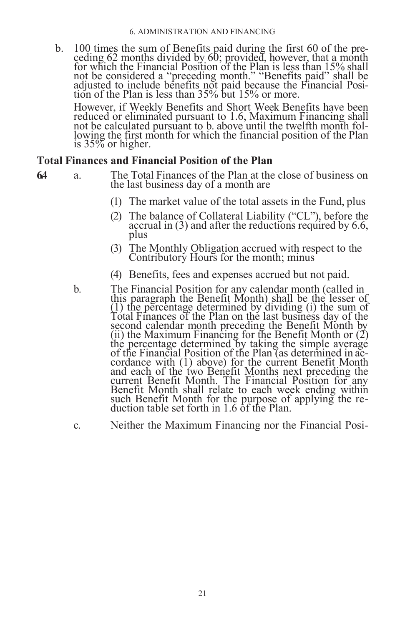b. 100 times the sum of Benefits paid during the first 60 of the preceding 62 months divided by 60; provided, however, that a month for which the Financial Position of the Plan is less than 15% shall not be considered a "preceding month." "Benefits paid" shall be adjusted to include benefits not paid because the Financial Position of the Plan is less than 35% but 15% or more.

However, if Weekly Benefits and Short Week Benefits have been reduced or eliminated pursuant to 1.6, Maximum Financing shall not be calculated pursuant to b. above until the twelfth month following the first month for which the financial position of the Plan is 35% or higher.

#### <span id="page-28-0"></span>**Total Finances and Financial Position of the Plan**

- **6.4** a. The Total Finances of the Plan at the close of business on the last business day of a month are
	- (1) The market value of the total assets in the Fund, plus
	- (2) The balance of Collateral Liability ("CL"), before the accrual in (3) and after the reductions required by 6.6, plus
	- (3) The Monthly Obligation accrued with respect to the Contributory Hours for the month; minus
	- (4) Benefits, fees and expenses accrued but not paid.
	- b. The Financial Position for any calendar month (called in this paragraph the Benefit Month) shall be the lesser of (1) the percentage determined by dividing (i) the sum of Total Finances of the Plan on the last business day of the second calendar month preceding the Benefit Month by (ii) the Maximum Financing for the Benefit Month or  $(2)$ the percentage determined by taking the simple average of the Financial Position of the Plan (as determined in accordance with (1) above) for the current Benefit Month and each of the two Benefit Months next preceding the current Benefit Month. The Financial Position for any Benefit Month shall relate to each week ending within such Benefit Month for the purpose of applying the reduction table set forth in 1.6 of the Plan.
	- c. Neither the Maximum Financing nor the Financial Posi-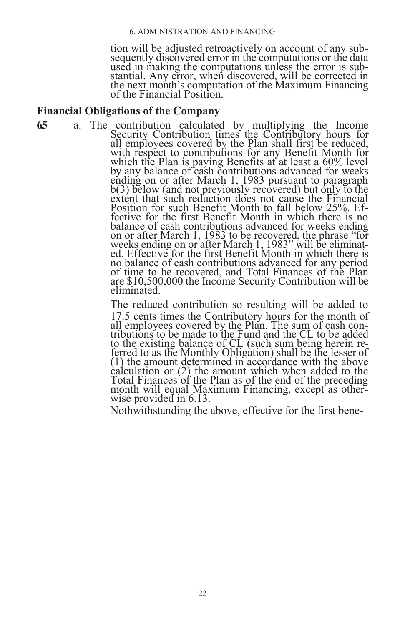#### 6. ADMINISTRATION AND FINANCING

tion will be adjusted retroactively on account of any subsequently discovered error in the computations or the data used in making the computations unless the error is substantial. Any error, when discovered, will be corrected in the next month's computation of the Maximum Financing of the Financial Position.

#### <span id="page-29-0"></span>**Financial Obligations of the Company**

**6.5** a. The contribution calculated by multiplying the Income Security Contribution times the Contributory hours for all employees covered by the Plan shall first be reduced, with respect to contributions for any Benefit Month for which the Plan is paying Benefits at at least a 60% level by any balance of cash contributions advanced for weeks ending on or after March 1, 1983 pursuant to paragraph  $b(3)$  below (and not previously recovered) but only to the extent that such reduction does not cause the Financial Position for such Benefit Month to fall below 25%. Effective for the first Benefit Month in which there is no balance of cash contributions advanced for weeks ending on or after March 1, 1983 to be recovered, the phrase "for weeks ending on or after March 1, 1983" will be eliminated. Effective for the first Benefit Month in which there is no balance of cash contributions advanced for any period of time to be recovered, and Total Finances of the Plan are \$10,500,000 the Income Security Contribution will be eliminated.

> The reduced contribution so resulting will be added to 17.5 cents times the Contributory hours for the month of all employees covered by the Plan. The sum of cash contributions to be made to the Fund and the CL to be added to the existing balance of CL (such sum being herein referred to as the Monthly Obligation) shall be the lesser of (1) the amount determined in accordance with the above calculation or (2) the amount which when added to the Total Finances of the Plan as of the end of the preceding month will equal Maximum Financing, except as otherwise provided in 6.13.

Nothwithstanding the above, effective for the first bene-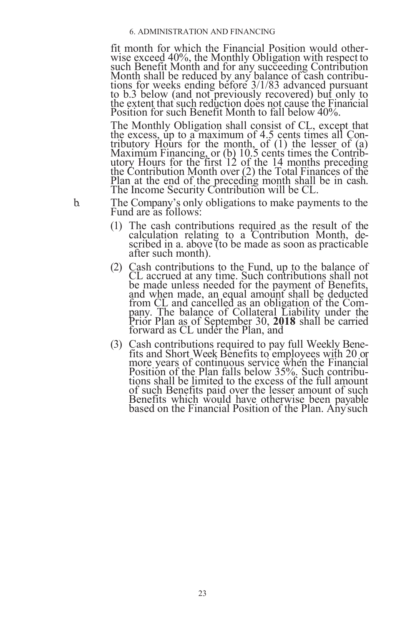fit month for which the Financial Position would otherwise exceed 40%, the Monthly Obligation with respect to such Benefit Month and for any succeeding Contribution Month shall be reduced by any balance of cash contributions for weeks ending before 3/1/83 advanced pursuant to b.3 below (and not previously recovered) but only to the extent that such reduction does not cause the Financial Position for such Benefit Month to fall below 40%.

The Monthly Obligation shall consist of CL, except that the excess, up to a maximum of 4.5 cents times all Contributory Hours for the month, of  $(1)$  the lesser of  $(a)$ Maximum Financing, or (b) 10.5 cents times the Contributory Hours for the first 12 of the 14 months preceding the Contribution Month over (2) the Total Finances of the Plan at the end of the preceding month shall be in cash. The Income Security Contribution will be CL.

b. The Company's only obligations to make payments to the Fund are as follows:

- (1) The cash contributions required as the result of the calculation relating to a Contribution Month, described in a. above (to be made as soon as practicable after such month).
- (2) Cash contributions to the Fund, up to the balance of CL accrued at any time. Such contributions shall not be made unless needed for the payment of Benefits, and when made, an equal amount shall be deducted from CL and cancelled as an obligation of the Company. The balance of Collateral Liability under the Prior Plan as of September 30, **2018** shall be carried forward as CL under the Plan, and
- (3) Cash contributions required to pay full Weekly Benefits and Short Week Benefits to employees with 20 or more years of continuous service when the Financial Position of the Plan falls below 35%. Such contributions shall be limited to the excess of the full amount of such Benefits paid over the lesser amount of such Benefits which would have otherwise been payable based on the Financial Position of the Plan. Anysuch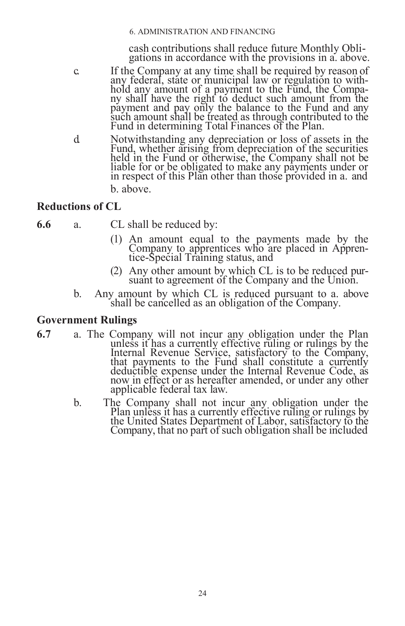cash contributions shall reduce future Monthly Obligations in accordance with the provisions in a. above.

- c. If the Company at any time shall be required by reason of any federal, state or municipal law or regulation to withhold any amount of a payment to the Fund, the Company shall have the right to deduct such amount from the payment and pay only the balance to the Fund and any such amount shall be treated as through contributed to the Fund in determining Total Finances of the Plan.
- d. Notwithstanding any depreciation or loss of assets in the Fund, whether arising from depreciation of the securities held in the Fund or otherwise, the Company shall not be liable for or be obligated to make any payments under or in respect of this Plan other than those provided in a. and b. above.

# <span id="page-31-0"></span>**Reductions of CL**

- **6.6** a. CL shall be reduced by:
	- (1) An amount equal to the payments made by the Company to apprentices who are placed in Apprentice-Special Training status, and
	- (2) Any other amount by which CL is to be reduced pursuant to agreement of the Company and the Union.
	- b. Any amount by which CL is reduced pursuant to a. above shall be cancelled as an obligation of the Company.

### <span id="page-31-1"></span>**Government Rulings**

- **6.7** a. The Company will not incur any obligation under the Plan unless it has a currently effective ruling or rulings by the Internal Revenue Service, satisfactory to the Company, that payments to the Fund shall constitute a currently deductible expense under the Internal Revenue Code, as now in effect or as hereafter amended, or under any other applicable federal tax law.
	- b. The Company shall not incur any obligation under the Plan unless it has a currently effective ruling or rulings by the United States Department of Labor, satisfactory to the Company, that no part of such obligation shall be included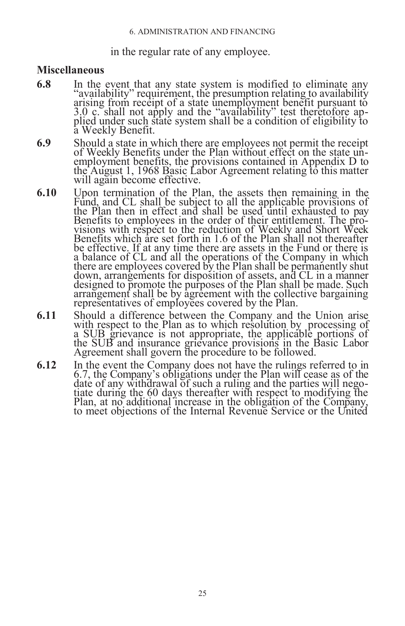#### in the regular rate of any employee.

#### <span id="page-32-0"></span>**Miscellaneous**

- **6.8** In the event that any state system is modified to eliminate any "availability" requirement, the presumption relating to availability arising from receipt of a state unemployment benefit pursuant to 3.0 c. shall not apply and the "availability" test theretofore applied under such state system shall be a condition of eligibility to a Weekly Benefit.
- **6.9** Should a state in which there are employees not permit the receipt of Weekly Benefits under the Plan without effect on the state unemployment benefits, the provisions contained in Appendix D to the August 1, 1968 Basic Labor Agreement relating to this matter will again become effective.
- **6.10** Upon termination of the Plan, the assets then remaining in the Fund, and CL shall be subject to all the applicable provisions of the Plan then in effect and shall be used until exhausted to pay Benefits to employees in the order of their entitlement. The provisions with respect to the reduction of Weekly and Short Week Benefits which are set forth in 1.6 of the Plan shall not thereafter be effective. If at any time there are assets in the Fund or there is a balance of CL and all the operations of the Company in which there are employees covered by the Plan shall be permanently shut down, arrangements for disposition of assets, and CL in a manner designed to promote the purposes of the Plan shall be made. Such arrangement shall be by agreement with the collective bargaining representatives of employees covered by the Plan.
- **6.11** Should a difference between the Company and the Union arise with respect to the Plan as to which resolution by processing of a SUB grievance is not appropriate, the applicable portions of the SUB and insurance grievance provisions in the Basic Labor Agreement shall govern the procedure to be followed.
- **6.12** In the event the Company does not have the rulings referred to in 6.7, the Company's obligations under the Plan will cease as of the date of any withdrawal of such a ruling and the parties will negotiate during the 60 days thereafter with respect to modifying the Plan, at no additional increase in the obligation of the Company, to meet objections of the Internal Revenue Service or the United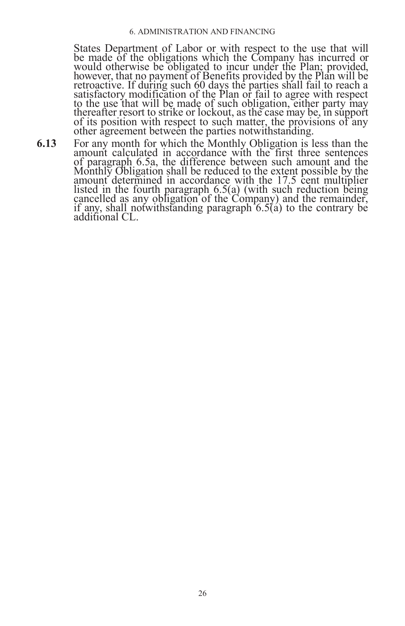#### 6. ADMINISTRATION AND FINANCING

States Department of Labor or with respect to the use that will be made of the obligations which the Company has incurred or would otherwise be obligated to incur under the Plan; provided, however, that no payment of Benefits provided by the Plan will be retroactive. If during such 60 days the parties shall fail to reach a satisfactory modification of the Plan or fail to agree with respect to the use that will be made of such obligation, either party may thereafter resort to strike or lockout, as the case may be, in support of its position with respect to such matter, the provisions of any other agreement between the parties notwithstanding.

**6.13** For any month for which the Monthly Obligation is less than the amount calculated in accordance with the first three sentences of paragraph 6.5a, the difference between such amount and the Monthly Obligation shall be reduced to the extent possible by the amount determined in accordance with the 17.5 cent multiplier listed in the fourth paragraph 6.5(a) (with such reduction being cancelled as any obligation of the Company) and the remainder, if any, shall notwithstanding paragraph  $6.5(i)$  to the contrary be additional CL.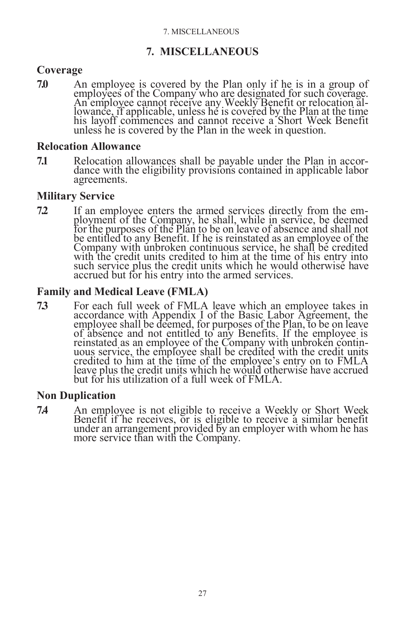# **7. MISCELLANEOUS**

# <span id="page-34-1"></span><span id="page-34-0"></span>**Coverage**

**7.0** An employee is covered by the Plan only if he is in a group of employees of the Company who are designated for such coverage. An employee cannot receive any Weekly Benefit or relocation allowance, if applicable, unless he is covered by the Plan at the time his layoff commences and cannot receive a Short Week Benefit unless he is covered by the Plan in the week in question.

### <span id="page-34-2"></span>**Relocation Allowance**

**7.1** Relocation allowances shall be payable under the Plan in accordance with the eligibility provisions contained in applicable labor agreements.

# <span id="page-34-3"></span>**Military Service**

**7.2** If an employee enters the armed services directly from the employment of the Company, he shall, while in service, be deemed for the purposes of the Plan to be on leave of absence and shall not be entitled to any Benefit. If he is reinstated as an employee of the Company with unbroken continuous service, he shall be credited with the credit units credited to him at the time of his entry into such service plus the credit units which he would otherwise have accrued but for his entry into the armed services.

# <span id="page-34-4"></span>**Family and Medical Leave (FMLA)**

**7.3** For each full week of FMLA leave which an employee takes in accordance with Appendix I of the Basic Labor Agreement, the employee shall be deemed, for purposes of the Plan, to be on leave of absence and not entitled to any Benefits. If the employee is reinstated as an employee of the Company with unbroken continuous service, the employee shall be credited with the credit units credited to him at the time of the employee's entry on to FMLA leave plus the credit units which he would otherwise have accrued but for his utilization of a full week of FMLA.

# <span id="page-34-5"></span>**Non Duplication**

**7.4** An employee is not eligible to receive a Weekly or Short Week Benefit if he receives, or is eligible to receive a similar benefit under an arrangement provided by an employer with whom he has more service than with the Company.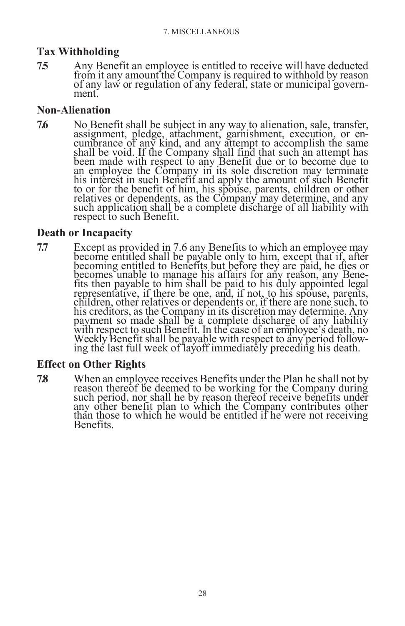# <span id="page-35-0"></span>**Tax Withholding**

**7.5** Any Benefit an employee is entitled to receive will have deducted from it any amount the Company is required to withhold by reason of any law or regulation of any federal, state or municipal government.

# <span id="page-35-1"></span>**Non-Alienation**

**7.6** No Benefit shall be subject in any way to alienation, sale, transfer, assignment, pledge, attachment, garnishment, execution, or encumbrance of any kind, and any attempt to accomplish the same shall be void. If the Company shall find that such an attempt has been made with respect to any Benefit due or to become due to an employee the Company in its sole discretion may terminate his interest in such Benefit and apply the amount of such Benefit to or for the benefit of him, his spouse, parents, children or other relatives or dependents, as the Company may determine, and any such application shall be a complete discharge of all liability with respect to such Benefit.

# <span id="page-35-2"></span>**Death or Incapacity**

**7.7** Except as provided in 7.6 any Benefits to which an employee may become entitled shall be payable only to him, except that if, after becoming entitled to Benefits but before they are paid, he dies or becomes unable to manage his affairs for any reason, any Benefits then payable to him shall be paid to his duly appointed legal representative, if there be one, and, if not, to his spouse, parents, children, other relatives or dependents or, if there are none such, to his creditors, as the Company in its discretion may determine. Any payment so made shall be a complete discharge of any liability with respect to such Benefit. In the case of an employee's death, no Weekly Benefit shall be payable with respect to any period following the last full week of layoff immediately preceding his death.

# <span id="page-35-3"></span>**Effect on Other Rights**

**7.8** When an employee receives Benefits under the Plan he shall not by reason thereof be deemed to be working for the Company during such period, nor shall he by reason thereof receive benefits under any other benefit plan to which the Company contributes other than those to which he would be entitled if he were not receiving Benefits.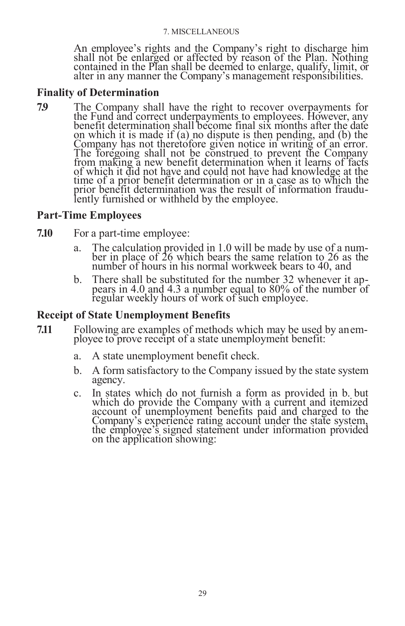#### 7. MISCELLANEOUS

An employee's rights and the Company's right to discharge him shall not be enlarged or affected by reason of the Plan. Nothing contained in the Plan shall be deemed to enlarge, qualify, limit,  $\sigma$ alter in any manner the Company's management responsibilities.

### <span id="page-36-0"></span>**Finality of Determination**

**7.9** The Company shall have the right to recover overpayments for the Fund and correct underpayments to employees. However, any benefit determination shall become final six months after the date on which it is made if (a) no dispute is then pending, and (b) the Company has not theretofore given notice in writing of an error. The foregoing shall not be construed to prevent the Company from making a new benefit determination when it learns of facts of which it did not have and could not have had knowledge at the time of a prior benefit determination or in a case as to which the prior benefit determination was the result of information fraudulently furnished or withheld by the employee.

# <span id="page-36-1"></span>**Part-Time Employees**

- **7.10** For a part-time employee:
	- a. The calculation provided in 1.0 will be made by use of a number in place of 26 which bears the same relation to 26 as the number of hours in his normal workweek bears to 40, and
	- b. There shall be substituted for the number 32 whenever it appears in 4.0 and 4.3 a number equal to  $80\%$  of the number of regular weekly hours of work of such employee.

### <span id="page-36-2"></span>**Receipt of State Unemployment Benefits**

- **7.11** Following are examples of methods which may be used by anemployee to prove receipt of a state unemployment benefit:
	- a. A state unemployment benefit check.
	- b. A form satisfactory to the Company issued by the state system agency.
	- c. In states which do not furnish a form as provided in b. but which do provide the Company with a current and itemized account of unemployment benefits paid and charged to the Company's experience rating account under the state system, the employee's signed statement under information provided on the application showing: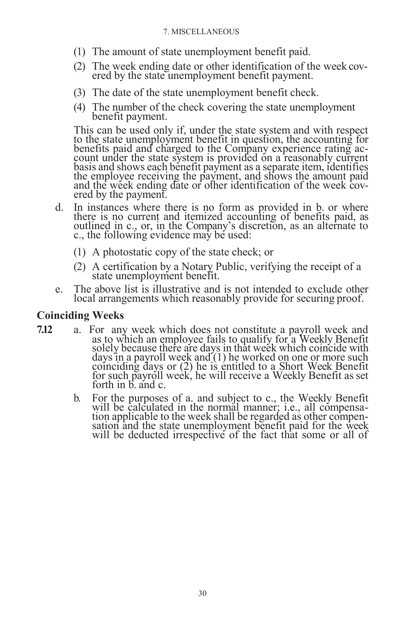- (1) The amount of state unemployment benefit paid.
- (2) The week ending date or other identification of the week covered by the state unemployment benefit payment.
- (3) The date of the state unemployment benefit check.
- (4) The number of the check covering the state unemployment benefit payment.

This can be used only if, under the state system and with respect to the state unemployment benefit in question, the accounting for benefits paid and charged to the Company experience rating account under the state system is provided on a reasonably current basis and shows each benefit payment as a separate item, identifies the employee receiving the payment, and shows the amount paid and the week ending date or other identification of the week covered by the payment.

- d. In instances where there is no form as provided in b. or where there is no current and itemized accounting of benefits paid, as outlined in c., or, in the Company's discretion, as an alternate to c., the following evidence may be used:
	- (1) A photostatic copy of the state check; or
	- (2) A certification by a Notary Public, verifying the receipt of a state unemployment benefit.
- e. The above list is illustrative and is not intended to exclude other local arrangements which reasonably provide for securing proof.

# <span id="page-37-0"></span>**Coinciding Weeks**

- **7.12** a. For any week which does not constitute a payroll week and as to which an employee fails to qualify for a Weekly Benefit solely because there are days in that week which coincide with days in a payroll week and (1) he worked on one or more such coinciding days or (2) he is entitled to a Short Week Benefit for such payroll week, he will receive a Weekly Benefit as set forth in b. and c.
	- b. For the purposes of a. and subject to c., the Weekly Benefit will be calculated in the normal manner; i.e., all compensation applicable to the week shall be regarded as other compensation and the state unemployment benefit paid for the week will be deducted irrespective of the fact that some or all of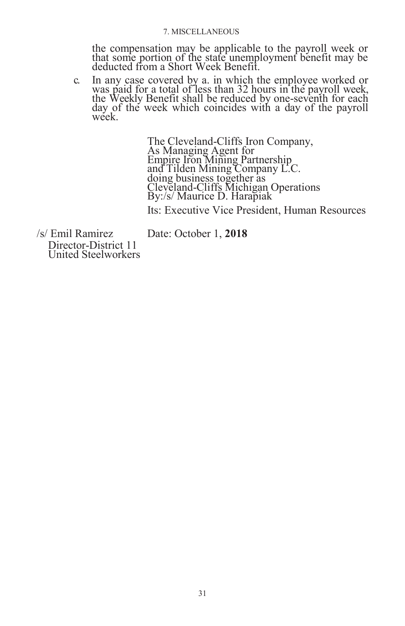#### 7. MISCELLANEOUS

the compensation may be applicable to the payroll week or that some portion of the state unemployment benefit may be deducted from a Short Week Benefit.

c. In any case covered by a. in which the employee worked or was paid for a total of less than 32 hours in the payroll week, the Weekly Benefit shall be reduced by one-seventh for each day of the week which coincides with a day of the payroll week.

> The Cleveland-Cliffs Iron Company, As Managing Agent for Empire Iron Mining Partnership and Tilden Mining Company L.C. doing business together as Cleveland-Cliffs Michigan Operations By:/s/ Maurice D. Harapiak

Its: Executive Vice President, Human Resources

/s/ Emil Ramirez Date: October 1, **2018** Director-District 11 United Steelworkers